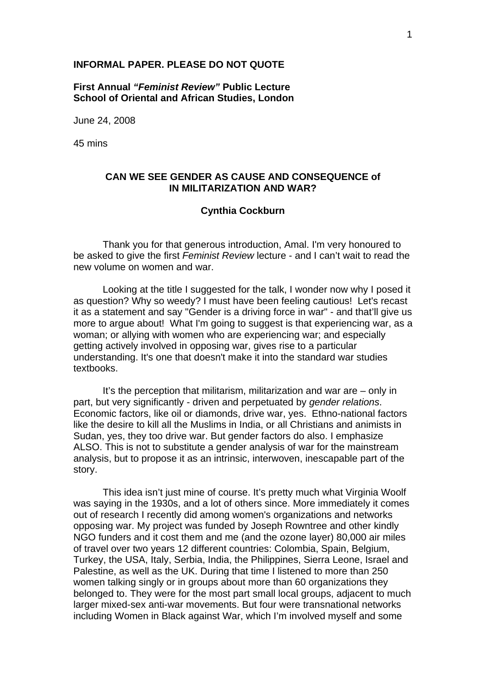### **INFORMAL PAPER. PLEASE DO NOT QUOTE**

**First Annual** *"Feminist Review"* **Public Lecture School of Oriental and African Studies, London** 

June 24, 2008

45 mins

## **CAN WE SEE GENDER AS CAUSE AND CONSEQUENCE of IN MILITARIZATION AND WAR?**

## **Cynthia Cockburn**

Thank you for that generous introduction, Amal. I'm very honoured to be asked to give the first *Feminist Review* lecture - and I can't wait to read the new volume on women and war.

Looking at the title I suggested for the talk, I wonder now why I posed it as question? Why so weedy? I must have been feeling cautious! Let's recast it as a statement and say "Gender is a driving force in war" - and that'll give us more to argue about! What I'm going to suggest is that experiencing war, as a woman; or allying with women who are experiencing war; and especially getting actively involved in opposing war, gives rise to a particular understanding. It's one that doesn't make it into the standard war studies textbooks.

It's the perception that militarism, militarization and war are – only in part, but very significantly - driven and perpetuated by *gender relations*. Economic factors, like oil or diamonds, drive war, yes. Ethno-national factors like the desire to kill all the Muslims in India, or all Christians and animists in Sudan, yes, they too drive war. But gender factors do also. I emphasize ALSO. This is not to substitute a gender analysis of war for the mainstream analysis, but to propose it as an intrinsic, interwoven, inescapable part of the story.

This idea isn't just mine of course. It's pretty much what Virginia Woolf was saying in the 1930s, and a lot of others since. More immediately it comes out of research I recently did among women's organizations and networks opposing war. My project was funded by Joseph Rowntree and other kindly NGO funders and it cost them and me (and the ozone layer) 80,000 air miles of travel over two years 12 different countries: Colombia, Spain, Belgium, Turkey, the USA, Italy, Serbia, India, the Philippines, Sierra Leone, Israel and Palestine, as well as the UK. During that time I listened to more than 250 women talking singly or in groups about more than 60 organizations they belonged to. They were for the most part small local groups, adjacent to much larger mixed-sex anti-war movements. But four were transnational networks including Women in Black against War, which I'm involved myself and some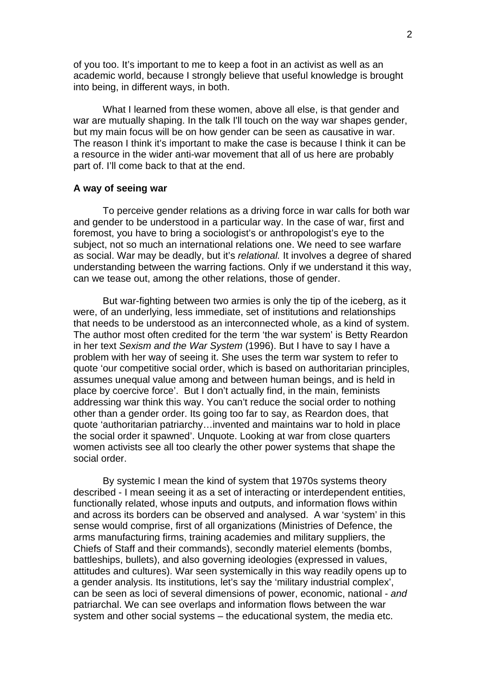of you too. It's important to me to keep a foot in an activist as well as an academic world, because I strongly believe that useful knowledge is brought into being, in different ways, in both.

What I learned from these women, above all else, is that gender and war are mutually shaping. In the talk I'll touch on the way war shapes gender, but my main focus will be on how gender can be seen as causative in war. The reason I think it's important to make the case is because I think it can be a resource in the wider anti-war movement that all of us here are probably part of. I'll come back to that at the end.

## **A way of seeing war**

To perceive gender relations as a driving force in war calls for both war and gender to be understood in a particular way. In the case of war, first and foremost, you have to bring a sociologist's or anthropologist's eye to the subject, not so much an international relations one. We need to see warfare as social. War may be deadly, but it's *relational.* It involves a degree of shared understanding between the warring factions. Only if we understand it this way, can we tease out, among the other relations, those of gender.

But war-fighting between two armies is only the tip of the iceberg, as it were, of an underlying, less immediate, set of institutions and relationships that needs to be understood as an interconnected whole, as a kind of system. The author most often credited for the term 'the war system' is Betty Reardon in her text *Sexism and the War System* (1996). But I have to say I have a problem with her way of seeing it. She uses the term war system to refer to quote 'our competitive social order, which is based on authoritarian principles, assumes unequal value among and between human beings, and is held in place by coercive force'. But I don't actually find, in the main, feminists addressing war think this way. You can't reduce the social order to nothing other than a gender order. Its going too far to say, as Reardon does, that quote 'authoritarian patriarchy…invented and maintains war to hold in place the social order it spawned'. Unquote. Looking at war from close quarters women activists see all too clearly the other power systems that shape the social order.

By systemic I mean the kind of system that 1970s systems theory described - I mean seeing it as a set of interacting or interdependent entities, functionally related, whose inputs and outputs, and information flows within and across its borders can be observed and analysed. A war 'system' in this sense would comprise, first of all organizations (Ministries of Defence, the arms manufacturing firms, training academies and military suppliers, the Chiefs of Staff and their commands), secondly materiel elements (bombs, battleships, bullets), and also governing ideologies (expressed in values, attitudes and cultures). War seen systemically in this way readily opens up to a gender analysis. Its institutions, let's say the 'military industrial complex', can be seen as loci of several dimensions of power, economic, national - *and*  patriarchal. We can see overlaps and information flows between the war system and other social systems – the educational system, the media etc.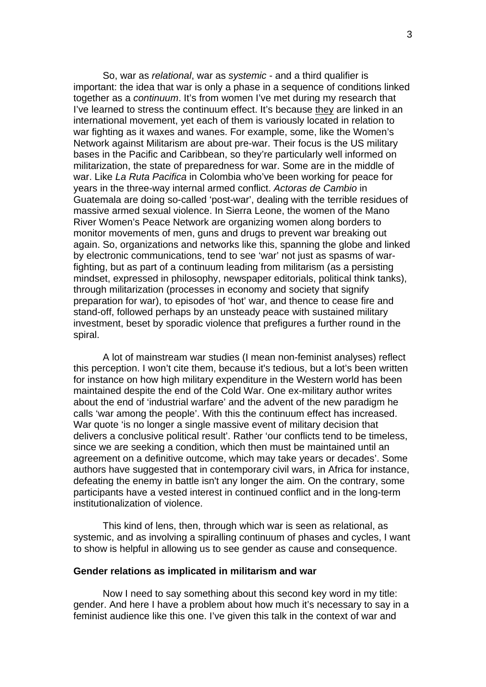So, war as *relational*, war as *systemic* - and a third qualifier is important: the idea that war is only a phase in a sequence of conditions linked together as a *continuum*. It's from women I've met during my research that I've learned to stress the continuum effect. It's because they are linked in an international movement, yet each of them is variously located in relation to war fighting as it waxes and wanes. For example, some, like the Women's Network against Militarism are about pre-war. Their focus is the US military bases in the Pacific and Caribbean, so they're particularly well informed on militarization, the state of preparedness for war. Some are in the middle of war. Like *La Ruta Pacifica* in Colombia who've been working for peace for years in the three-way internal armed conflict. *Actoras de Cambio* in Guatemala are doing so-called 'post-war', dealing with the terrible residues of massive armed sexual violence. In Sierra Leone, the women of the Mano River Women's Peace Network are organizing women along borders to monitor movements of men, guns and drugs to prevent war breaking out again. So, organizations and networks like this, spanning the globe and linked by electronic communications, tend to see 'war' not just as spasms of warfighting, but as part of a continuum leading from militarism (as a persisting mindset, expressed in philosophy, newspaper editorials, political think tanks), through militarization (processes in economy and society that signify preparation for war), to episodes of 'hot' war, and thence to cease fire and stand-off, followed perhaps by an unsteady peace with sustained military investment, beset by sporadic violence that prefigures a further round in the spiral.

A lot of mainstream war studies (I mean non-feminist analyses) reflect this perception. I won't cite them, because it's tedious, but a lot's been written for instance on how high military expenditure in the Western world has been maintained despite the end of the Cold War. One ex-military author writes about the end of 'industrial warfare' and the advent of the new paradigm he calls 'war among the people'. With this the continuum effect has increased. War quote 'is no longer a single massive event of military decision that delivers a conclusive political result'. Rather 'our conflicts tend to be timeless, since we are seeking a condition, which then must be maintained until an agreement on a definitive outcome, which may take years or decades'. Some authors have suggested that in contemporary civil wars, in Africa for instance, defeating the enemy in battle isn't any longer the aim. On the contrary, some participants have a vested interest in continued conflict and in the long-term institutionalization of violence.

This kind of lens, then, through which war is seen as relational, as systemic, and as involving a spiralling continuum of phases and cycles, I want to show is helpful in allowing us to see gender as cause and consequence.

### **Gender relations as implicated in militarism and war**

Now I need to say something about this second key word in my title: gender. And here I have a problem about how much it's necessary to say in a feminist audience like this one. I've given this talk in the context of war and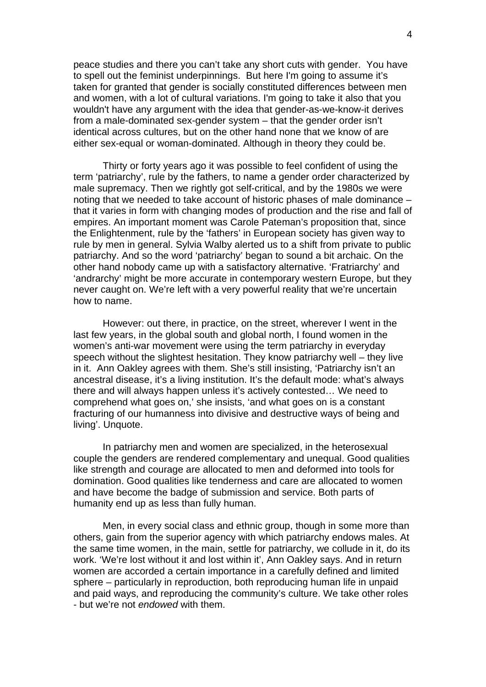peace studies and there you can't take any short cuts with gender. You have to spell out the feminist underpinnings. But here I'm going to assume it's taken for granted that gender is socially constituted differences between men and women, with a lot of cultural variations. I'm going to take it also that you wouldn't have any argument with the idea that gender-as-we-know-it derives from a male-dominated sex-gender system – that the gender order isn't identical across cultures, but on the other hand none that we know of are either sex-equal or woman-dominated. Although in theory they could be.

Thirty or forty years ago it was possible to feel confident of using the term 'patriarchy', rule by the fathers, to name a gender order characterized by male supremacy. Then we rightly got self-critical, and by the 1980s we were noting that we needed to take account of historic phases of male dominance – that it varies in form with changing modes of production and the rise and fall of empires. An important moment was Carole Pateman's proposition that, since the Enlightenment, rule by the 'fathers' in European society has given way to rule by men in general. Sylvia Walby alerted us to a shift from private to public patriarchy. And so the word 'patriarchy' began to sound a bit archaic. On the other hand nobody came up with a satisfactory alternative. 'Fratriarchy' and 'andrarchy' might be more accurate in contemporary western Europe, but they never caught on. We're left with a very powerful reality that we're uncertain how to name.

However: out there, in practice, on the street, wherever I went in the last few years, in the global south and global north, I found women in the women's anti-war movement were using the term patriarchy in everyday speech without the slightest hesitation. They know patriarchy well – they live in it. Ann Oakley agrees with them. She's still insisting, 'Patriarchy isn't an ancestral disease, it's a living institution. It's the default mode: what's always there and will always happen unless it's actively contested… We need to comprehend what goes on,' she insists, 'and what goes on is a constant fracturing of our humanness into divisive and destructive ways of being and living'. Unquote.

In patriarchy men and women are specialized, in the heterosexual couple the genders are rendered complementary and unequal. Good qualities like strength and courage are allocated to men and deformed into tools for domination. Good qualities like tenderness and care are allocated to women and have become the badge of submission and service. Both parts of humanity end up as less than fully human.

Men, in every social class and ethnic group, though in some more than others, gain from the superior agency with which patriarchy endows males. At the same time women, in the main, settle for patriarchy, we collude in it, do its work. 'We're lost without it and lost within it', Ann Oakley says. And in return women are accorded a certain importance in a carefully defined and limited sphere – particularly in reproduction, both reproducing human life in unpaid and paid ways, and reproducing the community's culture. We take other roles - but we're not *endowed* with them.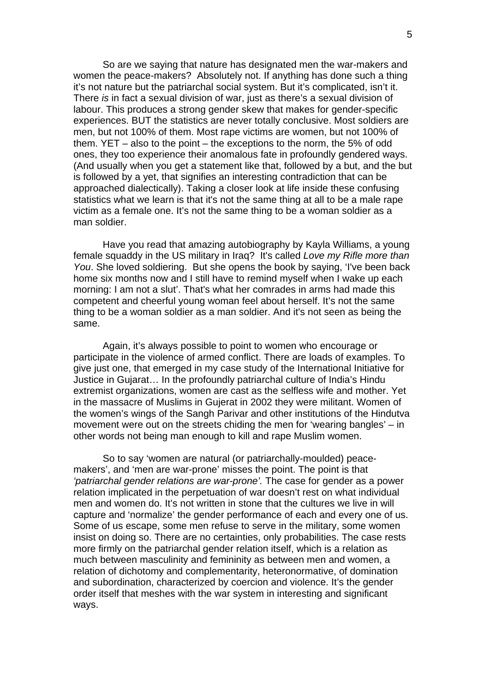So are we saying that nature has designated men the war-makers and women the peace-makers? Absolutely not. If anything has done such a thing it's not nature but the patriarchal social system. But it's complicated, isn't it. There *is* in fact a sexual division of war, just as there's a sexual division of labour. This produces a strong gender skew that makes for gender-specific experiences. BUT the statistics are never totally conclusive. Most soldiers are men, but not 100% of them. Most rape victims are women, but not 100% of them. YET – also to the point – the exceptions to the norm, the 5% of odd ones, they too experience their anomalous fate in profoundly gendered ways. (And usually when you get a statement like that, followed by a but, and the but is followed by a yet, that signifies an interesting contradiction that can be approached dialectically). Taking a closer look at life inside these confusing statistics what we learn is that it's not the same thing at all to be a male rape victim as a female one. It's not the same thing to be a woman soldier as a man soldier.

Have you read that amazing autobiography by Kayla Williams, a young female squaddy in the US military in Iraq? It's called *Love my Rifle more than You*. She loved soldiering. But she opens the book by saying, 'I've been back home six months now and I still have to remind myself when I wake up each morning: I am not a slut'. That's what her comrades in arms had made this competent and cheerful young woman feel about herself. It's not the same thing to be a woman soldier as a man soldier. And it's not seen as being the same.

Again, it's always possible to point to women who encourage or participate in the violence of armed conflict. There are loads of examples. To give just one, that emerged in my case study of the International Initiative for Justice in Gujarat… In the profoundly patriarchal culture of India's Hindu extremist organizations, women are cast as the selfless wife and mother. Yet in the massacre of Muslims in Gujerat in 2002 they were militant. Women of the women's wings of the Sangh Parivar and other institutions of the Hindutva movement were out on the streets chiding the men for 'wearing bangles' – in other words not being man enough to kill and rape Muslim women.

So to say 'women are natural (or patriarchally-moulded) peacemakers', and 'men are war-prone' misses the point. The point is that *'patriarchal gender relations are war-prone'.* The case for gender as a power relation implicated in the perpetuation of war doesn't rest on what individual men and women do. It's not written in stone that the cultures we live in will capture and 'normalize' the gender performance of each and every one of us. Some of us escape, some men refuse to serve in the military, some women insist on doing so. There are no certainties, only probabilities. The case rests more firmly on the patriarchal gender relation itself, which is a relation as much between masculinity and femininity as between men and women, a relation of dichotomy and complementarity, heteronormative, of domination and subordination, characterized by coercion and violence. It's the gender order itself that meshes with the war system in interesting and significant ways.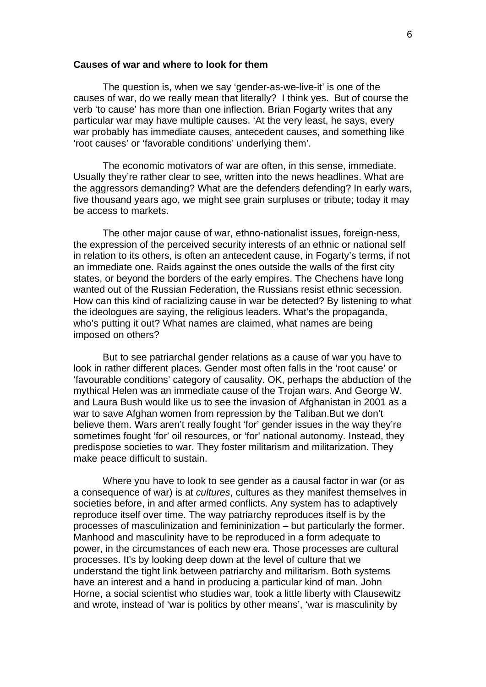### **Causes of war and where to look for them**

The question is, when we say 'gender-as-we-live-it' is one of the causes of war, do we really mean that literally? I think yes. But of course the verb 'to cause' has more than one inflection. Brian Fogarty writes that any particular war may have multiple causes. 'At the very least, he says, every war probably has immediate causes, antecedent causes, and something like 'root causes' or 'favorable conditions' underlying them'.

The economic motivators of war are often, in this sense, immediate. Usually they're rather clear to see, written into the news headlines. What are the aggressors demanding? What are the defenders defending? In early wars, five thousand years ago, we might see grain surpluses or tribute; today it may be access to markets.

The other major cause of war, ethno-nationalist issues, foreign-ness, the expression of the perceived security interests of an ethnic or national self in relation to its others, is often an antecedent cause, in Fogarty's terms, if not an immediate one. Raids against the ones outside the walls of the first city states, or beyond the borders of the early empires. The Chechens have long wanted out of the Russian Federation, the Russians resist ethnic secession. How can this kind of racializing cause in war be detected? By listening to what the ideologues are saying, the religious leaders. What's the propaganda, who's putting it out? What names are claimed, what names are being imposed on others?

But to see patriarchal gender relations as a cause of war you have to look in rather different places. Gender most often falls in the 'root cause' or 'favourable conditions' category of causality. OK, perhaps the abduction of the mythical Helen was an immediate cause of the Trojan wars. And George W. and Laura Bush would like us to see the invasion of Afghanistan in 2001 as a war to save Afghan women from repression by the Taliban.But we don't believe them. Wars aren't really fought 'for' gender issues in the way they're sometimes fought 'for' oil resources, or 'for' national autonomy. Instead, they predispose societies to war. They foster militarism and militarization. They make peace difficult to sustain.

Where you have to look to see gender as a causal factor in war (or as a consequence of war) is at *cultures*, cultures as they manifest themselves in societies before, in and after armed conflicts. Any system has to adaptively reproduce itself over time. The way patriarchy reproduces itself is by the processes of masculinization and femininization – but particularly the former. Manhood and masculinity have to be reproduced in a form adequate to power, in the circumstances of each new era. Those processes are cultural processes. It's by looking deep down at the level of culture that we understand the tight link between patriarchy and militarism. Both systems have an interest and a hand in producing a particular kind of man. John Horne, a social scientist who studies war, took a little liberty with Clausewitz and wrote, instead of 'war is politics by other means', 'war is masculinity by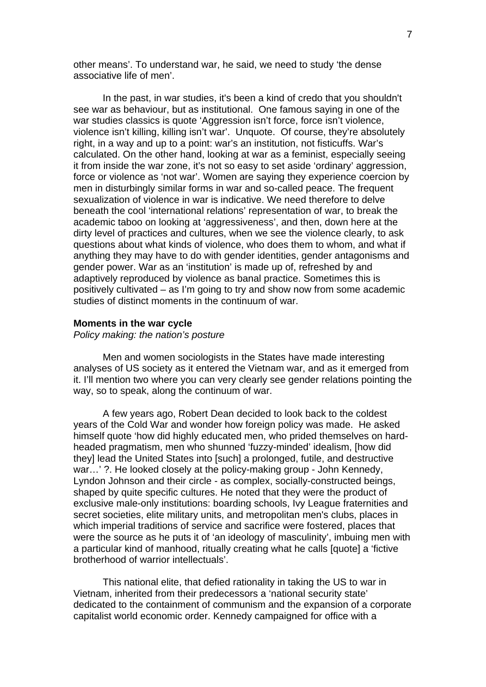other means'. To understand war, he said, we need to study 'the dense associative life of men'.

In the past, in war studies, it's been a kind of credo that you shouldn't see war as behaviour, but as institutional. One famous saying in one of the war studies classics is quote 'Aggression isn't force, force isn't violence, violence isn't killing, killing isn't war'. Unquote. Of course, they're absolutely right, in a way and up to a point: war's an institution, not fisticuffs. War's calculated. On the other hand, looking at war as a feminist, especially seeing it from inside the war zone, it's not so easy to set aside 'ordinary' aggression, force or violence as 'not war'. Women are saying they experience coercion by men in disturbingly similar forms in war and so-called peace. The frequent sexualization of violence in war is indicative. We need therefore to delve beneath the cool 'international relations' representation of war, to break the academic taboo on looking at 'aggressiveness', and then, down here at the dirty level of practices and cultures, when we see the violence clearly, to ask questions about what kinds of violence, who does them to whom, and what if anything they may have to do with gender identities, gender antagonisms and gender power. War as an 'institution' is made up of, refreshed by and adaptively reproduced by violence as banal practice. Sometimes this is positively cultivated – as I'm going to try and show now from some academic studies of distinct moments in the continuum of war.

## **Moments in the war cycle**

*Policy making: the nation's posture* 

Men and women sociologists in the States have made interesting analyses of US society as it entered the Vietnam war, and as it emerged from it. I'll mention two where you can very clearly see gender relations pointing the way, so to speak, along the continuum of war.

A few years ago, Robert Dean decided to look back to the coldest years of the Cold War and wonder how foreign policy was made. He asked himself quote 'how did highly educated men, who prided themselves on hardheaded pragmatism, men who shunned 'fuzzy-minded' idealism, [how did they] lead the United States into [such] a prolonged, futile, and destructive war…' ?. He looked closely at the policy-making group - John Kennedy, Lyndon Johnson and their circle - as complex, socially-constructed beings, shaped by quite specific cultures. He noted that they were the product of exclusive male-only institutions: boarding schools, Ivy League fraternities and secret societies, elite military units, and metropolitan men's clubs, places in which imperial traditions of service and sacrifice were fostered, places that were the source as he puts it of 'an ideology of masculinity', imbuing men with a particular kind of manhood, ritually creating what he calls [quote] a 'fictive brotherhood of warrior intellectuals'.

This national elite, that defied rationality in taking the US to war in Vietnam, inherited from their predecessors a 'national security state' dedicated to the containment of communism and the expansion of a corporate capitalist world economic order. Kennedy campaigned for office with a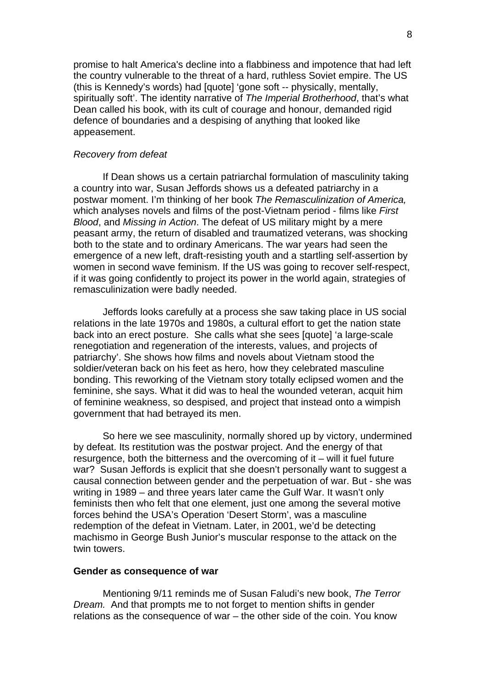promise to halt America's decline into a flabbiness and impotence that had left the country vulnerable to the threat of a hard, ruthless Soviet empire. The US (this is Kennedy's words) had [quote] 'gone soft -- physically, mentally, spiritually soft'. The identity narrative of *The Imperial Brotherhood*, that's what Dean called his book, with its cult of courage and honour, demanded rigid defence of boundaries and a despising of anything that looked like appeasement.

## *Recovery from defeat*

If Dean shows us a certain patriarchal formulation of masculinity taking a country into war, Susan Jeffords shows us a defeated patriarchy in a postwar moment. I'm thinking of her book *The Remasculinization of America,*  which analyses novels and films of the post-Vietnam period - films like *First Blood*, and *Missing in Action*. The defeat of US military might by a mere peasant army, the return of disabled and traumatized veterans, was shocking both to the state and to ordinary Americans. The war years had seen the emergence of a new left, draft-resisting youth and a startling self-assertion by women in second wave feminism. If the US was going to recover self-respect, if it was going confidently to project its power in the world again, strategies of remasculinization were badly needed.

Jeffords looks carefully at a process she saw taking place in US social relations in the late 1970s and 1980s, a cultural effort to get the nation state back into an erect posture. She calls what she sees [quote] 'a large-scale renegotiation and regeneration of the interests, values, and projects of patriarchy'. She shows how films and novels about Vietnam stood the soldier/veteran back on his feet as hero, how they celebrated masculine bonding. This reworking of the Vietnam story totally eclipsed women and the feminine, she says. What it did was to heal the wounded veteran, acquit him of feminine weakness, so despised, and project that instead onto a wimpish government that had betrayed its men.

So here we see masculinity, normally shored up by victory, undermined by defeat. Its restitution was the postwar project. And the energy of that resurgence, both the bitterness and the overcoming of it – will it fuel future war? Susan Jeffords is explicit that she doesn't personally want to suggest a causal connection between gender and the perpetuation of war. But - she was writing in 1989 – and three years later came the Gulf War. It wasn't only feminists then who felt that one element, just one among the several motive forces behind the USA's Operation 'Desert Storm', was a masculine redemption of the defeat in Vietnam. Later, in 2001, we'd be detecting machismo in George Bush Junior's muscular response to the attack on the twin towers.

#### **Gender as consequence of war**

Mentioning 9/11 reminds me of Susan Faludi's new book, *The Terror Dream.* And that prompts me to not forget to mention shifts in gender relations as the consequence of war – the other side of the coin. You know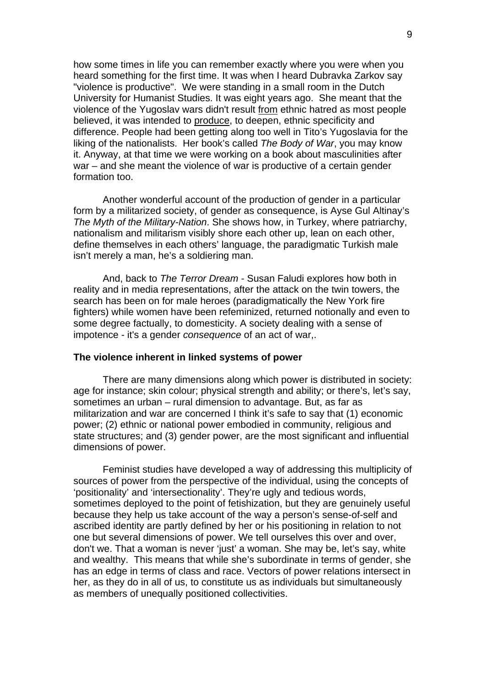how some times in life you can remember exactly where you were when you heard something for the first time. It was when I heard Dubravka Zarkov say "violence is productive". We were standing in a small room in the Dutch University for Humanist Studies. It was eight years ago. She meant that the violence of the Yugoslav wars didn't result from ethnic hatred as most people believed, it was intended to produce, to deepen, ethnic specificity and difference. People had been getting along too well in Tito's Yugoslavia for the liking of the nationalists. Her book's called *The Body of War*, you may know it. Anyway, at that time we were working on a book about masculinities after war – and she meant the violence of war is productive of a certain gender formation too.

Another wonderful account of the production of gender in a particular form by a militarized society, of gender as consequence, is Ayse Gul Altinay's *The Myth of the Military-Nation*. She shows how, in Turkey, where patriarchy, nationalism and militarism visibly shore each other up, lean on each other, define themselves in each others' language, the paradigmatic Turkish male isn't merely a man, he's a soldiering man.

And, back to *The Terror Dream -* Susan Faludi explores how both in reality and in media representations, after the attack on the twin towers, the search has been on for male heroes (paradigmatically the New York fire fighters) while women have been refeminized, returned notionally and even to some degree factually, to domesticity. A society dealing with a sense of impotence - it's a gender *consequence* of an act of war,.

### **The violence inherent in linked systems of power**

There are many dimensions along which power is distributed in society: age for instance; skin colour; physical strength and ability; or there's, let's say, sometimes an urban – rural dimension to advantage. But, as far as militarization and war are concerned I think it's safe to say that (1) economic power; (2) ethnic or national power embodied in community, religious and state structures; and (3) gender power, are the most significant and influential dimensions of power.

Feminist studies have developed a way of addressing this multiplicity of sources of power from the perspective of the individual, using the concepts of 'positionality' and 'intersectionality'. They're ugly and tedious words, sometimes deployed to the point of fetishization, but they are genuinely useful because they help us take account of the way a person's sense-of-self and ascribed identity are partly defined by her or his positioning in relation to not one but several dimensions of power. We tell ourselves this over and over, don't we. That a woman is never 'just' a woman. She may be, let's say, white and wealthy. This means that while she's subordinate in terms of gender, she has an edge in terms of class and race. Vectors of power relations intersect in her, as they do in all of us, to constitute us as individuals but simultaneously as members of unequally positioned collectivities.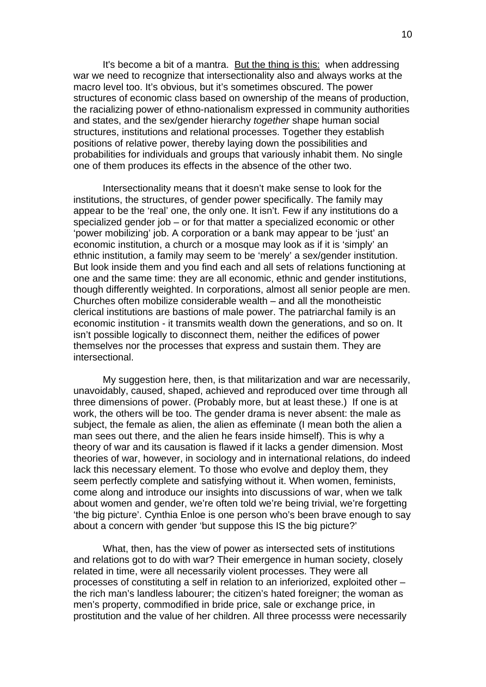It's become a bit of a mantra. But the thing is this: when addressing war we need to recognize that intersectionality also and always works at the macro level too. It's obvious, but it's sometimes obscured. The power structures of economic class based on ownership of the means of production, the racializing power of ethno-nationalism expressed in community authorities and states, and the sex/gender hierarchy *together* shape human social structures, institutions and relational processes. Together they establish positions of relative power, thereby laying down the possibilities and probabilities for individuals and groups that variously inhabit them. No single one of them produces its effects in the absence of the other two.

Intersectionality means that it doesn't make sense to look for the institutions, the structures, of gender power specifically. The family may appear to be the 'real' one, the only one. It isn't. Few if any institutions do a specialized gender job – or for that matter a specialized economic or other 'power mobilizing' job. A corporation or a bank may appear to be 'just' an economic institution, a church or a mosque may look as if it is 'simply' an ethnic institution, a family may seem to be 'merely' a sex/gender institution. But look inside them and you find each and all sets of relations functioning at one and the same time: they are all economic, ethnic and gender institutions, though differently weighted. In corporations, almost all senior people are men. Churches often mobilize considerable wealth – and all the monotheistic clerical institutions are bastions of male power. The patriarchal family is an economic institution - it transmits wealth down the generations, and so on. It isn't possible logically to disconnect them, neither the edifices of power themselves nor the processes that express and sustain them. They are intersectional.

My suggestion here, then, is that militarization and war are necessarily, unavoidably, caused, shaped, achieved and reproduced over time through all three dimensions of power. (Probably more, but at least these.) If one is at work, the others will be too. The gender drama is never absent: the male as subject, the female as alien, the alien as effeminate (I mean both the alien a man sees out there, and the alien he fears inside himself). This is why a theory of war and its causation is flawed if it lacks a gender dimension. Most theories of war, however, in sociology and in international relations, do indeed lack this necessary element. To those who evolve and deploy them, they seem perfectly complete and satisfying without it. When women, feminists, come along and introduce our insights into discussions of war, when we talk about women and gender, we're often told we're being trivial, we're forgetting 'the big picture'. Cynthia Enloe is one person who's been brave enough to say about a concern with gender 'but suppose this IS the big picture?'

What, then, has the view of power as intersected sets of institutions and relations got to do with war? Their emergence in human society, closely related in time, were all necessarily violent processes. They were all processes of constituting a self in relation to an inferiorized, exploited other – the rich man's landless labourer; the citizen's hated foreigner; the woman as men's property, commodified in bride price, sale or exchange price, in prostitution and the value of her children. All three processs were necessarily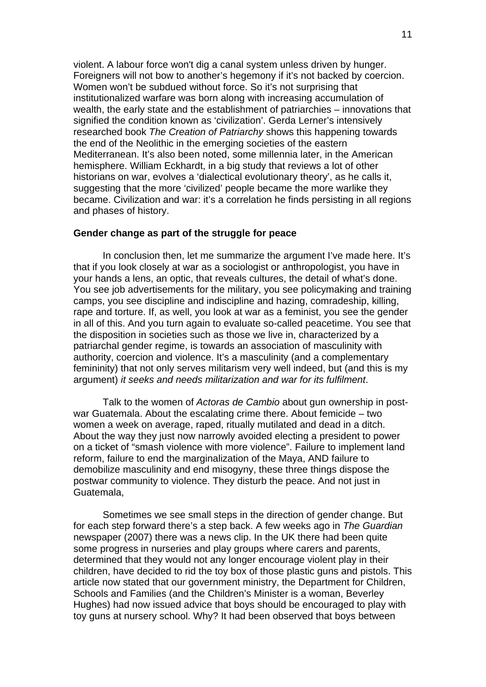violent. A labour force won't dig a canal system unless driven by hunger. Foreigners will not bow to another's hegemony if it's not backed by coercion. Women won't be subdued without force. So it's not surprising that institutionalized warfare was born along with increasing accumulation of wealth, the early state and the establishment of patriarchies – innovations that signified the condition known as 'civilization'. Gerda Lerner's intensively researched book *The Creation of Patriarchy* shows this happening towards the end of the Neolithic in the emerging societies of the eastern Mediterranean. It's also been noted, some millennia later, in the American hemisphere. William Eckhardt, in a big study that reviews a lot of other historians on war, evolves a 'dialectical evolutionary theory', as he calls it, suggesting that the more 'civilized' people became the more warlike they became. Civilization and war: it's a correlation he finds persisting in all regions and phases of history.

### **Gender change as part of the struggle for peace**

In conclusion then, let me summarize the argument I've made here. It's that if you look closely at war as a sociologist or anthropologist, you have in your hands a lens, an optic, that reveals cultures, the detail of what's done. You see job advertisements for the military, you see policymaking and training camps, you see discipline and indiscipline and hazing, comradeship, killing, rape and torture. If, as well, you look at war as a feminist, you see the gender in all of this. And you turn again to evaluate so-called peacetime. You see that the disposition in societies such as those we live in, characterized by a patriarchal gender regime, is towards an association of masculinity with authority, coercion and violence. It's a masculinity (and a complementary femininity) that not only serves militarism very well indeed, but (and this is my argument) *it seeks and needs militarization and war for its fulfilment*.

Talk to the women of *Actoras de Cambio* about gun ownership in postwar Guatemala. About the escalating crime there. About femicide – two women a week on average, raped, ritually mutilated and dead in a ditch. About the way they just now narrowly avoided electing a president to power on a ticket of "smash violence with more violence". Failure to implement land reform, failure to end the marginalization of the Maya, AND failure to demobilize masculinity and end misogyny, these three things dispose the postwar community to violence. They disturb the peace. And not just in Guatemala,

Sometimes we see small steps in the direction of gender change. But for each step forward there's a step back. A few weeks ago in *The Guardian* newspaper (2007) there was a news clip. In the UK there had been quite some progress in nurseries and play groups where carers and parents, determined that they would not any longer encourage violent play in their children, have decided to rid the toy box of those plastic guns and pistols. This article now stated that our government ministry, the Department for Children, Schools and Families (and the Children's Minister is a woman, Beverley Hughes) had now issued advice that boys should be encouraged to play with toy guns at nursery school. Why? It had been observed that boys between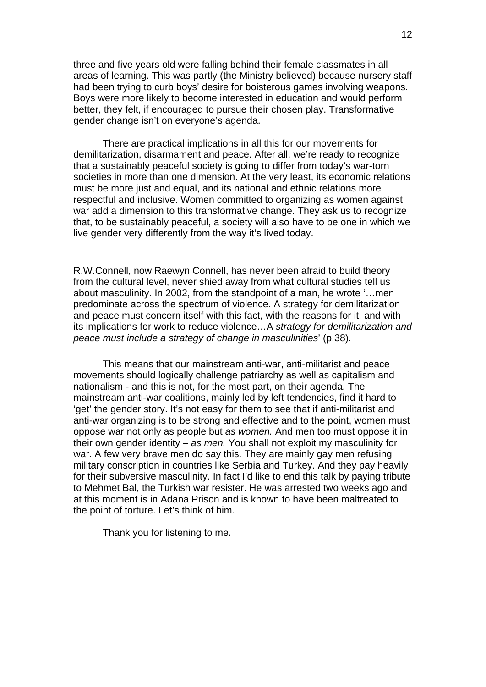three and five years old were falling behind their female classmates in all areas of learning. This was partly (the Ministry believed) because nursery staff had been trying to curb boys' desire for boisterous games involving weapons. Boys were more likely to become interested in education and would perform better, they felt, if encouraged to pursue their chosen play. Transformative gender change isn't on everyone's agenda.

There are practical implications in all this for our movements for demilitarization, disarmament and peace. After all, we're ready to recognize that a sustainably peaceful society is going to differ from today's war-torn societies in more than one dimension. At the very least, its economic relations must be more just and equal, and its national and ethnic relations more respectful and inclusive. Women committed to organizing as women against war add a dimension to this transformative change. They ask us to recognize that, to be sustainably peaceful, a society will also have to be one in which we live gender very differently from the way it's lived today.

R.W.Connell, now Raewyn Connell, has never been afraid to build theory from the cultural level, never shied away from what cultural studies tell us about masculinity. In 2002, from the standpoint of a man, he wrote '…men predominate across the spectrum of violence. A strategy for demilitarization and peace must concern itself with this fact, with the reasons for it, and with its implications for work to reduce violence…A *strategy for demilitarization and peace must include a strategy of change in masculinities*' (p.38).

This means that our mainstream anti-war, anti-militarist and peace movements should logically challenge patriarchy as well as capitalism and nationalism - and this is not, for the most part, on their agenda. The mainstream anti-war coalitions, mainly led by left tendencies, find it hard to 'get' the gender story. It's not easy for them to see that if anti-militarist and anti-war organizing is to be strong and effective and to the point, women must oppose war not only as people but *as women.* And men too must oppose it in their own gender identity – *as men.* You shall not exploit my masculinity for war. A few very brave men do say this. They are mainly gay men refusing military conscription in countries like Serbia and Turkey. And they pay heavily for their subversive masculinity. In fact I'd like to end this talk by paying tribute to Mehmet Bal, the Turkish war resister. He was arrested two weeks ago and at this moment is in Adana Prison and is known to have been maltreated to the point of torture. Let's think of him.

Thank you for listening to me.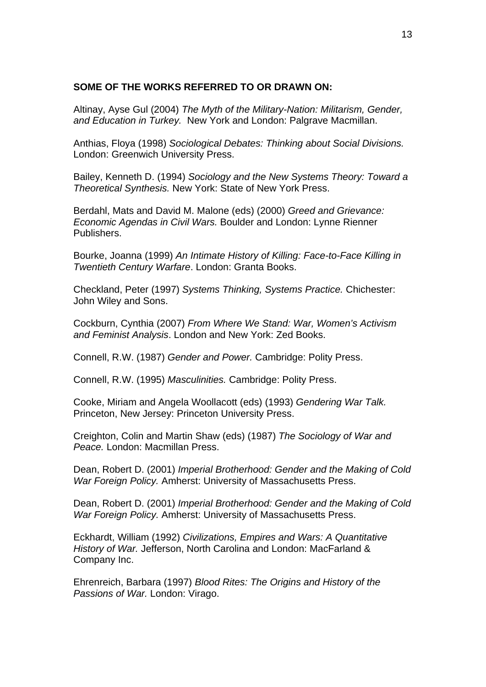# **SOME OF THE WORKS REFERRED TO OR DRAWN ON:**

Altinay, Ayse Gul (2004) *The Myth of the Military-Nation: Militarism, Gender, and Education in Turkey.* New York and London: Palgrave Macmillan.

Anthias, Floya (1998) *Sociological Debates: Thinking about Social Divisions.*  London: Greenwich University Press.

Bailey, Kenneth D. (1994) *Sociology and the New Systems Theory: Toward a Theoretical Synthesis.* New York: State of New York Press.

Berdahl, Mats and David M. Malone (eds) (2000) *Greed and Grievance: Economic Agendas in Civil Wars.* Boulder and London: Lynne Rienner Publishers.

Bourke, Joanna (1999) *An Intimate History of Killing: Face-to-Face Killing in Twentieth Century Warfare*. London: Granta Books.

Checkland, Peter (1997) *Systems Thinking, Systems Practice.* Chichester: John Wiley and Sons.

Cockburn, Cynthia (2007) *From Where We Stand: War, Women's Activism and Feminist Analysis*. London and New York: Zed Books.

Connell, R.W. (1987) *Gender and Power.* Cambridge: Polity Press.

Connell, R.W. (1995) *Masculinities.* Cambridge: Polity Press.

Cooke, Miriam and Angela Woollacott (eds) (1993) *Gendering War Talk.*  Princeton, New Jersey: Princeton University Press.

Creighton, Colin and Martin Shaw (eds) (1987) *The Sociology of War and Peace.* London: Macmillan Press.

Dean, Robert D. (2001) *Imperial Brotherhood: Gender and the Making of Cold War Foreign Policy.* Amherst: University of Massachusetts Press.

Dean, Robert D. (2001) *Imperial Brotherhood: Gender and the Making of Cold War Foreign Policy.* Amherst: University of Massachusetts Press.

Eckhardt, William (1992) *Civilizations, Empires and Wars: A Quantitative History of War.* Jefferson, North Carolina and London: MacFarland & Company Inc.

Ehrenreich, Barbara (1997) *Blood Rites: The Origins and History of the Passions of War.* London: Virago.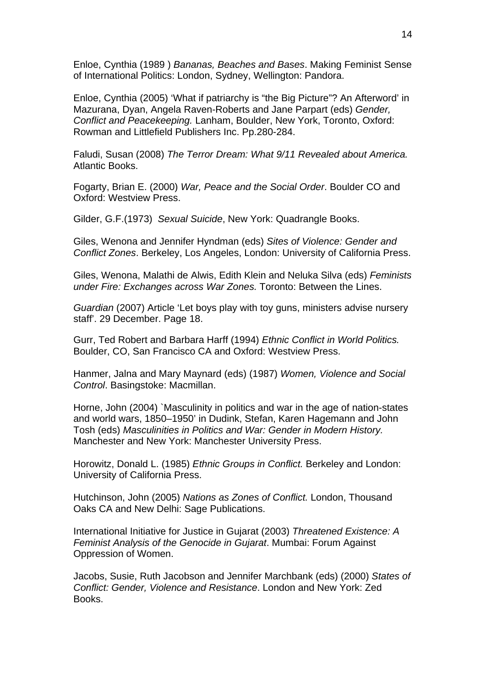Enloe, Cynthia (1989 ) *Bananas, Beaches and Bases*. Making Feminist Sense of International Politics: London, Sydney, Wellington: Pandora.

Enloe, Cynthia (2005) 'What if patriarchy is "the Big Picture"? An Afterword' in Mazurana, Dyan, Angela Raven-Roberts and Jane Parpart (eds) *Gender, Conflict and Peacekeeping.* Lanham, Boulder, New York, Toronto, Oxford: Rowman and Littlefield Publishers Inc. Pp.280-284.

Faludi, Susan (2008) *The Terror Dream: What 9/11 Revealed about America.*  Atlantic Books.

Fogarty, Brian E. (2000) *War, Peace and the Social Order*. Boulder CO and Oxford: Westview Press.

Gilder, G.F.(1973) *Sexual Suicide*, New York: Quadrangle Books.

Giles, Wenona and Jennifer Hyndman (eds) *Sites of Violence: Gender and Conflict Zones*. Berkeley, Los Angeles, London: University of California Press.

Giles, Wenona, Malathi de Alwis, Edith Klein and Neluka Silva (eds) *Feminists under Fire: Exchanges across War Zones.* Toronto: Between the Lines.

*Guardian* (2007) Article 'Let boys play with toy guns, ministers advise nursery staff'. 29 December. Page 18.

Gurr, Ted Robert and Barbara Harff (1994) *Ethnic Conflict in World Politics.*  Boulder, CO, San Francisco CA and Oxford: Westview Press.

Hanmer, Jalna and Mary Maynard (eds) (1987) *Women, Violence and Social Control*. Basingstoke: Macmillan.

Horne, John (2004) `Masculinity in politics and war in the age of nation-states and world wars, 1850–1950' in Dudink, Stefan, Karen Hagemann and John Tosh (eds) *Masculinities in Politics and War: Gender in Modern History.*  Manchester and New York: Manchester University Press.

Horowitz, Donald L. (1985) *Ethnic Groups in Conflict.* Berkeley and London: University of California Press.

Hutchinson, John (2005) *Nations as Zones of Conflict.* London, Thousand Oaks CA and New Delhi: Sage Publications.

International Initiative for Justice in Gujarat (2003) *Threatened Existence: A Feminist Analysis of the Genocide in Gujarat*. Mumbai: Forum Against Oppression of Women.

Jacobs, Susie, Ruth Jacobson and Jennifer Marchbank (eds) (2000) *States of Conflict: Gender, Violence and Resistance*. London and New York: Zed Books.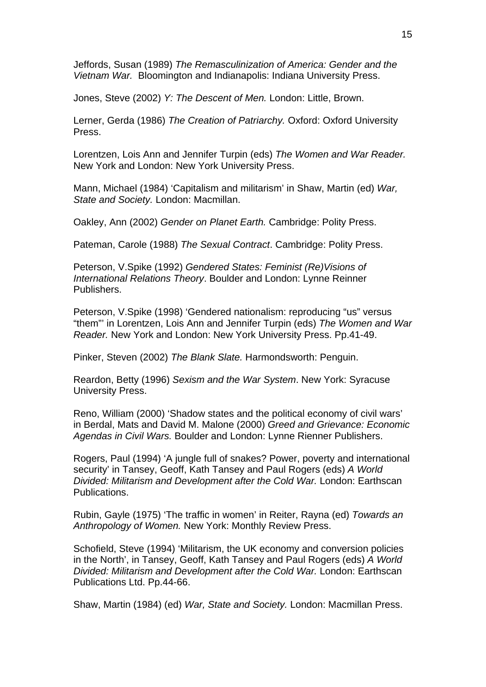Jeffords, Susan (1989) *The Remasculinization of America: Gender and the Vietnam War.* Bloomington and Indianapolis: Indiana University Press.

Jones, Steve (2002) *Y: The Descent of Men.* London: Little, Brown.

Lerner, Gerda (1986) *The Creation of Patriarchy.* Oxford: Oxford University Press.

Lorentzen, Lois Ann and Jennifer Turpin (eds) *The Women and War Reader.*  New York and London: New York University Press.

Mann, Michael (1984) 'Capitalism and militarism' in Shaw, Martin (ed) *War, State and Society.* London: Macmillan.

Oakley, Ann (2002) *Gender on Planet Earth.* Cambridge: Polity Press.

Pateman, Carole (1988) *The Sexual Contract*. Cambridge: Polity Press.

Peterson, V.Spike (1992) *Gendered States: Feminist (Re)Visions of International Relations Theory*. Boulder and London: Lynne Reinner Publishers.

Peterson, V.Spike (1998) 'Gendered nationalism: reproducing "us" versus "them"' in Lorentzen, Lois Ann and Jennifer Turpin (eds) *The Women and War Reader.* New York and London: New York University Press. Pp.41-49.

Pinker, Steven (2002) *The Blank Slate.* Harmondsworth: Penguin.

Reardon, Betty (1996) *Sexism and the War System*. New York: Syracuse University Press.

Reno, William (2000) 'Shadow states and the political economy of civil wars' in Berdal, Mats and David M. Malone (2000) *Greed and Grievance: Economic Agendas in Civil Wars.* Boulder and London: Lynne Rienner Publishers.

Rogers, Paul (1994) 'A jungle full of snakes? Power, poverty and international security' in Tansey, Geoff, Kath Tansey and Paul Rogers (eds) *A World Divided: Militarism and Development after the Cold War.* London: Earthscan Publications.

Rubin, Gayle (1975) 'The traffic in women' in Reiter, Rayna (ed) *Towards an Anthropology of Women.* New York: Monthly Review Press.

Schofield, Steve (1994) 'Militarism, the UK economy and conversion policies in the North', in Tansey, Geoff, Kath Tansey and Paul Rogers (eds) *A World Divided: Militarism and Development after the Cold War.* London: Earthscan Publications Ltd. Pp.44-66.

Shaw, Martin (1984) (ed) *War, State and Society.* London: Macmillan Press.